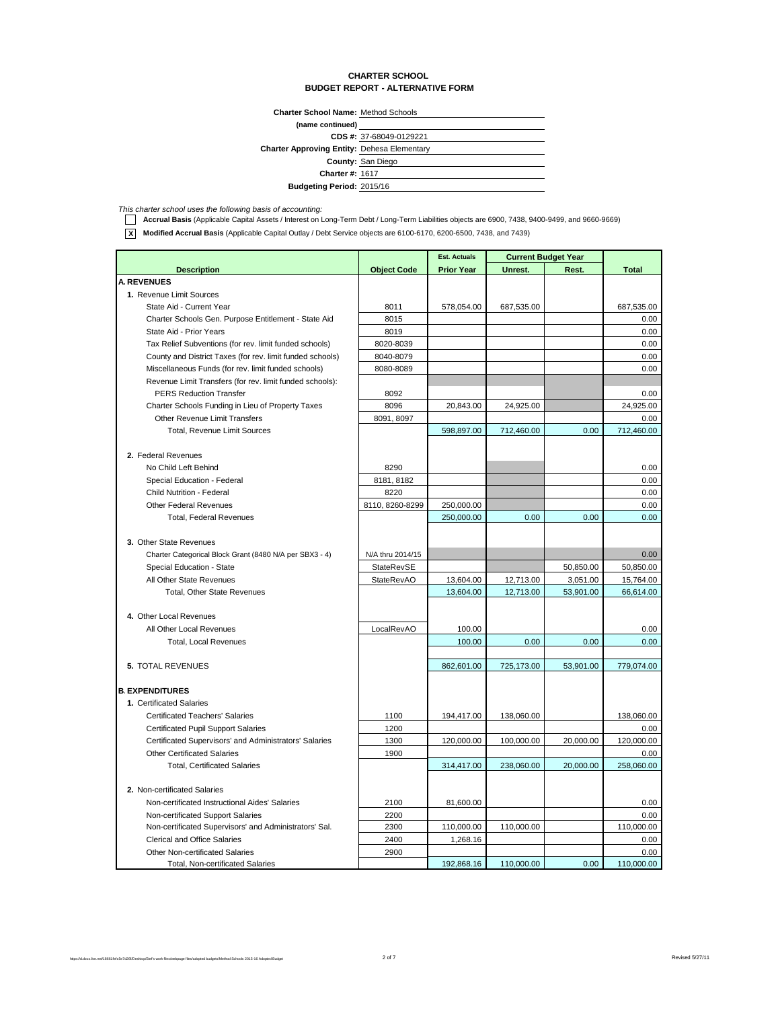#### **CHARTER SCHOOL BUDGET REPORT - ALTERNATIVE FORM**

| <b>Charter School Name: Method Schools</b> |  |
|--------------------------------------------|--|

| (name continued)                                   |                         |
|----------------------------------------------------|-------------------------|
|                                                    | CDS #: 37-68049-0129221 |
| <b>Charter Approving Entity: Dehesa Elementary</b> |                         |
|                                                    | County: San Diego       |
| <b>Charter #: 1617</b>                             |                         |
| <b>Budgeting Period: 2015/16</b>                   |                         |

This charter school uses the following basis of accounting:<br>**1. Accrual Basis** (Applicable Capital Assets / Interest on Long-Term Debt / Long-Term Liabilities objects are 6900, 7438, 9400-9499, and 9660-9669)

**X Modified Accrual Basis** (Applicable Capital Outlay / Debt Service objects are 6100-6170, 6200-6500, 7438, and 7439)

|                                                           |                    | <b>Est. Actuals</b> | <b>Current Budget Year</b> |           |              |
|-----------------------------------------------------------|--------------------|---------------------|----------------------------|-----------|--------------|
| <b>Description</b>                                        | <b>Object Code</b> | <b>Prior Year</b>   | Unrest.                    | Rest.     | <b>Total</b> |
| <b>A. REVENUES</b>                                        |                    |                     |                            |           |              |
| 1. Revenue Limit Sources                                  |                    |                     |                            |           |              |
| State Aid - Current Year                                  | 8011               | 578,054.00          | 687,535.00                 |           | 687,535.00   |
| Charter Schools Gen. Purpose Entitlement - State Aid      | 8015               |                     |                            |           | 0.00         |
| State Aid - Prior Years                                   | 8019               |                     |                            |           | 0.00         |
| Tax Relief Subventions (for rev. limit funded schools)    | 8020-8039          |                     |                            |           | 0.00         |
| County and District Taxes (for rev. limit funded schools) | 8040-8079          |                     |                            |           | 0.00         |
| Miscellaneous Funds (for rev. limit funded schools)       | 8080-8089          |                     |                            |           | 0.00         |
| Revenue Limit Transfers (for rev. limit funded schools):  |                    |                     |                            |           |              |
| <b>PERS Reduction Transfer</b>                            | 8092               |                     |                            |           | 0.00         |
| Charter Schools Funding in Lieu of Property Taxes         | 8096               | 20,843.00           | 24,925.00                  |           | 24,925.00    |
| Other Revenue Limit Transfers                             | 8091, 8097         |                     |                            |           | 0.00         |
| Total, Revenue Limit Sources                              |                    | 598,897.00          | 712,460.00                 | 0.00      | 712,460.00   |
|                                                           |                    |                     |                            |           |              |
| 2. Federal Revenues                                       |                    |                     |                            |           |              |
| No Child Left Behind                                      | 8290               |                     |                            |           | 0.00         |
| Special Education - Federal                               | 8181, 8182         |                     |                            |           | 0.00         |
| Child Nutrition - Federal                                 | 8220               |                     |                            |           | 0.00         |
| <b>Other Federal Revenues</b>                             | 8110, 8260-8299    | 250,000.00          |                            |           | 0.00         |
| <b>Total, Federal Revenues</b>                            |                    | 250,000.00          | 0.00                       | 0.00      | 0.00         |
|                                                           |                    |                     |                            |           |              |
| 3. Other State Revenues                                   |                    |                     |                            |           |              |
| Charter Categorical Block Grant (8480 N/A per SBX3 - 4)   | N/A thru 2014/15   |                     |                            |           | 0.00         |
| Special Education - State                                 | StateRevSE         |                     |                            | 50,850.00 | 50,850.00    |
| All Other State Revenues                                  | <b>StateRevAO</b>  | 13,604.00           | 12,713.00                  | 3,051.00  | 15,764.00    |
| Total, Other State Revenues                               |                    | 13,604.00           | 12,713.00                  | 53,901.00 | 66,614.00    |
|                                                           |                    |                     |                            |           |              |
| 4. Other Local Revenues                                   |                    |                     |                            |           |              |
| All Other Local Revenues                                  | LocalRevAO         | 100.00              |                            |           | 0.00         |
| <b>Total, Local Revenues</b>                              |                    | 100.00              | 0.00                       | 0.00      | 0.00         |
|                                                           |                    |                     |                            |           |              |
| <b>5. TOTAL REVENUES</b>                                  |                    | 862,601.00          | 725,173.00                 | 53,901.00 | 779,074.00   |
|                                                           |                    |                     |                            |           |              |
| <b>B. EXPENDITURES</b>                                    |                    |                     |                            |           |              |
| 1. Certificated Salaries                                  |                    |                     |                            |           |              |
| <b>Certificated Teachers' Salaries</b>                    | 1100               | 194,417.00          | 138,060.00                 |           | 138,060.00   |
| <b>Certificated Pupil Support Salaries</b>                | 1200               |                     |                            |           | 0.00         |
| Certificated Supervisors' and Administrators' Salaries    | 1300               | 120,000.00          | 100,000.00                 | 20,000.00 | 120,000.00   |
| <b>Other Certificated Salaries</b>                        | 1900               |                     |                            |           | 0.00         |
| <b>Total, Certificated Salaries</b>                       |                    | 314,417.00          | 238,060.00                 | 20,000.00 | 258,060.00   |
|                                                           |                    |                     |                            |           |              |
| 2. Non-certificated Salaries                              |                    |                     |                            |           |              |
| Non-certificated Instructional Aides' Salaries            | 2100               | 81,600.00           |                            |           | 0.00         |
| Non-certificated Support Salaries                         | 2200               |                     |                            |           | 0.00         |
| Non-certificated Supervisors' and Administrators' Sal.    | 2300               | 110,000.00          | 110,000.00                 |           | 110,000.00   |
| <b>Clerical and Office Salaries</b>                       | 2400               | 1,268.16            |                            |           | 0.00         |
| Other Non-certificated Salaries                           | 2900               |                     |                            |           | 0.00         |
| Total, Non-certificated Salaries                          |                    | 192,868.16          | 110,000.00                 | 0.00      | 110,000.00   |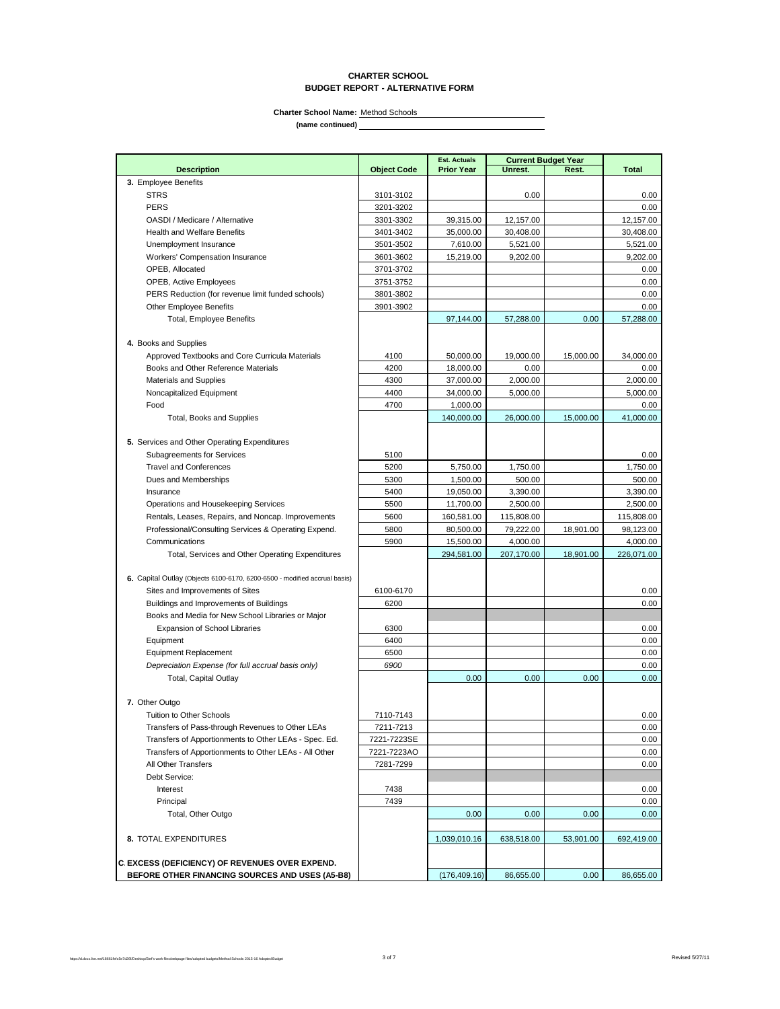### **CHARTER SCHOOL BUDGET REPORT - ALTERNATIVE FORM**

**Charter School Name:** Method Schools

|                                                                           |                    | <b>Est. Actuals</b> | <b>Current Budget Year</b> |           |              |
|---------------------------------------------------------------------------|--------------------|---------------------|----------------------------|-----------|--------------|
| <b>Description</b>                                                        | <b>Object Code</b> | <b>Prior Year</b>   | Unrest.                    | Rest.     | <b>Total</b> |
| 3. Employee Benefits                                                      |                    |                     |                            |           |              |
| <b>STRS</b>                                                               | 3101-3102          |                     | 0.00                       |           | 0.00         |
| <b>PERS</b>                                                               | 3201-3202          |                     |                            |           | 0.00         |
| OASDI / Medicare / Alternative                                            | 3301-3302          | 39,315.00           | 12,157.00                  |           | 12,157.00    |
| <b>Health and Welfare Benefits</b>                                        | 3401-3402          | 35,000.00           | 30,408.00                  |           | 30,408.00    |
| Unemployment Insurance                                                    | 3501-3502          | 7,610.00            | 5,521.00                   |           | 5,521.00     |
| <b>Workers' Compensation Insurance</b>                                    | 3601-3602          | 15,219.00           | 9,202.00                   |           | 9,202.00     |
| OPEB, Allocated                                                           | 3701-3702          |                     |                            |           | 0.00         |
| <b>OPEB, Active Employees</b>                                             | 3751-3752          |                     |                            |           | 0.00         |
| PERS Reduction (for revenue limit funded schools)                         | 3801-3802          |                     |                            |           | 0.00         |
| <b>Other Employee Benefits</b>                                            | 3901-3902          |                     |                            |           | 0.00         |
| <b>Total, Employee Benefits</b>                                           |                    | 97.144.00           | 57,288.00                  | 0.00      | 57,288.00    |
|                                                                           |                    |                     |                            |           |              |
| 4. Books and Supplies                                                     |                    |                     |                            |           |              |
| Approved Textbooks and Core Curricula Materials                           | 4100               | 50,000.00           | 19,000.00                  | 15,000.00 | 34,000.00    |
| Books and Other Reference Materials                                       | 4200               | 18,000.00           | 0.00                       |           | 0.00         |
| <b>Materials and Supplies</b>                                             | 4300               | 37,000.00           | 2,000.00                   |           | 2,000.00     |
| Noncapitalized Equipment                                                  | 4400               | 34,000.00           | 5,000.00                   |           | 5,000.00     |
| Food                                                                      | 4700               | 1,000.00            |                            |           | 0.00         |
| <b>Total, Books and Supplies</b>                                          |                    | 140,000.00          | 26,000.00                  | 15,000.00 | 41.000.00    |
|                                                                           |                    |                     |                            |           |              |
| 5. Services and Other Operating Expenditures                              |                    |                     |                            |           |              |
| Subagreements for Services                                                | 5100               |                     |                            |           | 0.00         |
| <b>Travel and Conferences</b>                                             | 5200               | 5,750.00            | 1,750.00                   |           | 1,750.00     |
| Dues and Memberships                                                      | 5300               | 1,500.00            | 500.00                     |           | 500.00       |
| Insurance                                                                 |                    |                     |                            |           |              |
| Operations and Housekeeping Services                                      | 5400               | 19,050.00           | 3,390.00<br>2,500.00       |           | 3,390.00     |
|                                                                           | 5500               | 11,700.00           |                            |           | 2,500.00     |
| Rentals, Leases, Repairs, and Noncap. Improvements                        | 5600               | 160,581.00          | 115,808.00                 |           | 115,808.00   |
| Professional/Consulting Services & Operating Expend.                      | 5800               | 80,500.00           | 79,222.00                  | 18,901.00 | 98,123.00    |
| Communications                                                            | 5900               | 15,500.00           | 4,000.00                   |           | 4,000.00     |
| Total, Services and Other Operating Expenditures                          |                    | 294,581.00          | 207,170.00                 | 18,901.00 | 226,071.00   |
|                                                                           |                    |                     |                            |           |              |
| 6. Capital Outlay (Objects 6100-6170, 6200-6500 - modified accrual basis) |                    |                     |                            |           |              |
| Sites and Improvements of Sites                                           | 6100-6170          |                     |                            |           | 0.00         |
| Buildings and Improvements of Buildings                                   | 6200               |                     |                            |           | 0.00         |
| Books and Media for New School Libraries or Major                         |                    |                     |                            |           |              |
| <b>Expansion of School Libraries</b>                                      | 6300               |                     |                            |           | 0.00         |
| Equipment                                                                 | 6400               |                     |                            |           | 0.00         |
| <b>Equipment Replacement</b>                                              | 6500               |                     |                            |           | 0.00         |
| Depreciation Expense (for full accrual basis only)                        | 6900               |                     |                            |           | 0.00         |
| <b>Total, Capital Outlay</b>                                              |                    | 0.00                | 0.00                       | 0.00      | 0.00         |
|                                                                           |                    |                     |                            |           |              |
| 7. Other Outgo                                                            |                    |                     |                            |           |              |
| Tuition to Other Schools                                                  | 7110-7143          |                     |                            |           | 0.00         |
| Transfers of Pass-through Revenues to Other LEAs                          | 7211-7213          |                     |                            |           | 0.00         |
| Transfers of Apportionments to Other LEAs - Spec. Ed.                     | 7221-7223SE        |                     |                            |           | 0.00         |
| Transfers of Apportionments to Other LEAs - All Other                     | 7221-7223AO        |                     |                            |           | 0.00         |
| All Other Transfers                                                       | 7281-7299          |                     |                            |           | 0.00         |
| Debt Service:                                                             |                    |                     |                            |           |              |
| Interest                                                                  | 7438               |                     |                            |           | 0.00         |
| Principal                                                                 | 7439               |                     |                            |           | 0.00         |
| Total, Other Outgo                                                        |                    | 0.00                | 0.00                       | 0.00      | 0.00         |
|                                                                           |                    |                     |                            |           |              |
| 8. TOTAL EXPENDITURES                                                     |                    | 1,039,010.16        | 638,518.00                 | 53,901.00 | 692,419.00   |
|                                                                           |                    |                     |                            |           |              |
| C. EXCESS (DEFICIENCY) OF REVENUES OVER EXPEND.                           |                    |                     |                            |           |              |
| BEFORE OTHER FINANCING SOURCES AND USES (A5-B8)                           |                    | (176, 409.16)       | 86,655.00                  | 0.00      | 86,655.00    |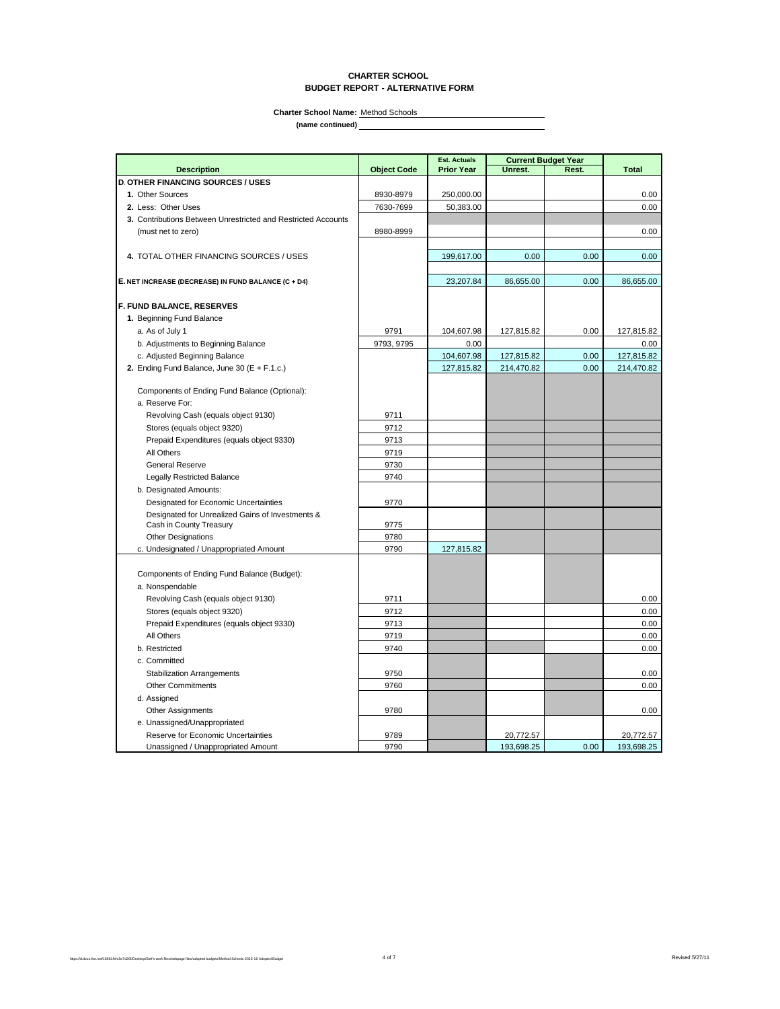### **CHARTER SCHOOL BUDGET REPORT - ALTERNATIVE FORM**

**Charter School Name:** Method Schools

|                                                                             |                    | <b>Est. Actuals</b> | <b>Current Budget Year</b> |       |              |
|-----------------------------------------------------------------------------|--------------------|---------------------|----------------------------|-------|--------------|
| <b>Description</b>                                                          | <b>Object Code</b> | <b>Prior Year</b>   | Unrest.                    | Rest. | <b>Total</b> |
| <b>D. OTHER FINANCING SOURCES / USES</b>                                    |                    |                     |                            |       |              |
| 1. Other Sources                                                            | 8930-8979          | 250,000.00          |                            |       | 0.00         |
| 2. Less: Other Uses                                                         | 7630-7699          | 50,383.00           |                            |       | 0.00         |
| 3. Contributions Between Unrestricted and Restricted Accounts               |                    |                     |                            |       |              |
| (must net to zero)                                                          | 8980-8999          |                     |                            |       | 0.00         |
|                                                                             |                    |                     |                            |       |              |
| 4. TOTAL OTHER FINANCING SOURCES / USES                                     |                    | 199,617.00          | 0.00                       | 0.00  | 0.00         |
|                                                                             |                    |                     |                            |       |              |
| E. NET INCREASE (DECREASE) IN FUND BALANCE (C + D4)                         |                    | 23,207.84           | 86,655.00                  | 0.00  | 86,655.00    |
|                                                                             |                    |                     |                            |       |              |
| F. FUND BALANCE, RESERVES                                                   |                    |                     |                            |       |              |
| 1. Beginning Fund Balance                                                   |                    |                     |                            |       |              |
| a. As of July 1                                                             | 9791               | 104,607.98          | 127,815.82                 | 0.00  | 127,815.82   |
| b. Adjustments to Beginning Balance                                         | 9793, 9795         | 0.00                |                            |       | 0.00         |
| c. Adjusted Beginning Balance                                               |                    | 104,607.98          | 127,815.82                 | 0.00  | 127,815.82   |
| 2. Ending Fund Balance, June 30 ( $E + F.1.c$ .)                            |                    | 127,815.82          | 214,470.82                 | 0.00  | 214,470.82   |
|                                                                             |                    |                     |                            |       |              |
| Components of Ending Fund Balance (Optional):                               |                    |                     |                            |       |              |
| a. Reserve For:                                                             |                    |                     |                            |       |              |
| Revolving Cash (equals object 9130)                                         | 9711               |                     |                            |       |              |
| Stores (equals object 9320)                                                 | 9712               |                     |                            |       |              |
| Prepaid Expenditures (equals object 9330)                                   | 9713               |                     |                            |       |              |
| All Others                                                                  | 9719               |                     |                            |       |              |
| <b>General Reserve</b>                                                      | 9730               |                     |                            |       |              |
| <b>Legally Restricted Balance</b>                                           | 9740               |                     |                            |       |              |
| b. Designated Amounts:                                                      |                    |                     |                            |       |              |
| <b>Designated for Economic Uncertainties</b>                                | 9770               |                     |                            |       |              |
| Designated for Unrealized Gains of Investments &<br>Cash in County Treasury | 9775               |                     |                            |       |              |
| <b>Other Designations</b>                                                   | 9780               |                     |                            |       |              |
| c. Undesignated / Unappropriated Amount                                     | 9790               | 127,815.82          |                            |       |              |
|                                                                             |                    |                     |                            |       |              |
| Components of Ending Fund Balance (Budget):                                 |                    |                     |                            |       |              |
| a. Nonspendable                                                             |                    |                     |                            |       |              |
| Revolving Cash (equals object 9130)                                         | 9711               |                     |                            |       | 0.00         |
| Stores (equals object 9320)                                                 | 9712               |                     |                            |       | 0.00         |
| Prepaid Expenditures (equals object 9330)                                   | 9713               |                     |                            |       | 0.00         |
| All Others                                                                  | 9719               |                     |                            |       | 0.00         |
| b. Restricted                                                               | 9740               |                     |                            |       | 0.00         |
| c. Committed                                                                |                    |                     |                            |       |              |
| <b>Stabilization Arrangements</b>                                           | 9750               |                     |                            |       | 0.00         |
| <b>Other Commitments</b>                                                    | 9760               |                     |                            |       | 0.00         |
| d. Assigned                                                                 |                    |                     |                            |       |              |
| <b>Other Assignments</b>                                                    | 9780               |                     |                            |       | 0.00         |
| e. Unassigned/Unappropriated                                                |                    |                     |                            |       |              |
| Reserve for Economic Uncertainties                                          | 9789               |                     | 20,772.57                  |       | 20,772.57    |
| Unassigned / Unappropriated Amount                                          | 9790               |                     | 193.698.25                 | 0.00  | 193,698.25   |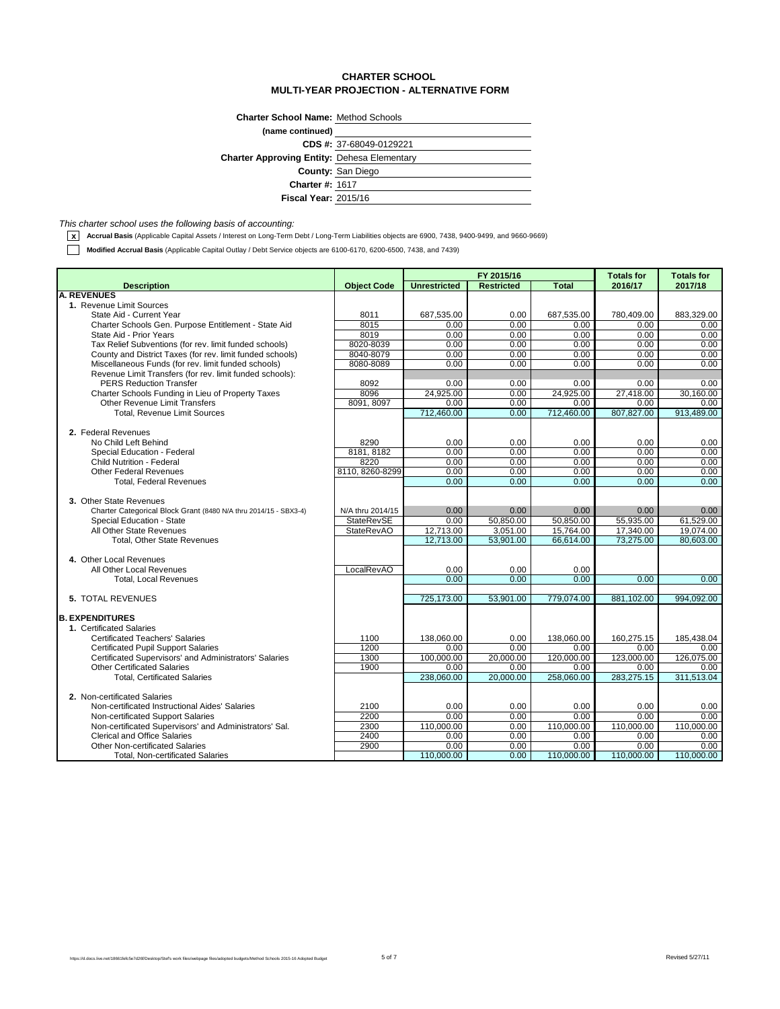## **CHARTER SCHOOL MULTI-YEAR PROJECTION - ALTERNATIVE FORM**

| (name continued)                                   |  |
|----------------------------------------------------|--|
|                                                    |  |
| CDS #: 37-68049-0129221                            |  |
| <b>Charter Approving Entity: Dehesa Elementary</b> |  |
| <b>County: San Diego</b>                           |  |
| <b>Charter #: 1617</b>                             |  |
| <b>Fiscal Year: 2015/16</b>                        |  |

*This charter school uses the following basis of accounting:*

**x** Accrual Basis (Applicable Capital Assets / Interest on Long-Term Debt / Long-Term Liabilities objects are 6900, 7438, 9400-9499, and 9660-9669)

**Modified Accrual Basis** (Applicable Capital Outlay / Debt Service objects are 6100-6170, 6200-6500, 7438, and 7439)

|                                                                                            |                    | FY 2015/16          |                   |              | <b>Totals for</b> | <b>Totals for</b> |
|--------------------------------------------------------------------------------------------|--------------------|---------------------|-------------------|--------------|-------------------|-------------------|
| <b>Description</b>                                                                         | <b>Object Code</b> | <b>Unrestricted</b> | <b>Restricted</b> | <b>Total</b> | 2016/17           | 2017/18           |
| <b>A. REVENUES</b>                                                                         |                    |                     |                   |              |                   |                   |
| 1. Revenue Limit Sources                                                                   |                    |                     |                   |              |                   |                   |
| State Aid - Current Year                                                                   | 8011               | 687,535.00          | 0.00              | 687,535.00   | 780,409.00        | 883,329.00        |
| Charter Schools Gen. Purpose Entitlement - State Aid                                       | 8015               | 0.00                | 0.00              | 0.00         | 0.00              | 0.00              |
| State Aid - Prior Years                                                                    | 8019               | 0.00                | 0.00              | 0.00         | 0.00              | 0.00              |
| Tax Relief Subventions (for rev. limit funded schools)                                     | 8020-8039          | 0.00                | 0.00              | 0.00         | 0.00              | 0.00              |
| County and District Taxes (for rev. limit funded schools)                                  | 8040-8079          | 0.00                | 0.00              | 0.00         | 0.00              | 0.00              |
| Miscellaneous Funds (for rev. limit funded schools)                                        | 8080-8089          | 0.00                | 0.00              | 0.00         | 0.00              | 0.00              |
| Revenue Limit Transfers (for rev. limit funded schools):<br><b>PERS Reduction Transfer</b> | 8092               | 0.00                | 0.00              | 0.00         | 0.00              | 0.00              |
| Charter Schools Funding in Lieu of Property Taxes                                          | 8096               | 24,925.00           | 0.00              | 24,925.00    | 27,418.00         | 30,160.00         |
| <b>Other Revenue Limit Transfers</b>                                                       | 8091, 8097         | 0.00                | 0.00              | 0.00         | 0.00              | 0.00              |
| <b>Total, Revenue Limit Sources</b>                                                        |                    | 712,460.00          | 0.00              | 712,460.00   | 807,827.00        | 913,489.00        |
|                                                                                            |                    |                     |                   |              |                   |                   |
| 2. Federal Revenues                                                                        |                    |                     |                   |              |                   |                   |
| No Child Left Behind                                                                       | 8290               | 0.00                | 0.00              | 0.00         | 0.00              | 0.00              |
| Special Education - Federal                                                                | 8181.8182          | 0.00                | 0.00              | 0.00         | 0.00              | 0.00              |
| <b>Child Nutrition - Federal</b>                                                           | 8220               | 0.00                | 0.00              | 0.00         | 0.00              | 0.00              |
| <b>Other Federal Revenues</b>                                                              | 8110, 8260-8299    | 0.00                | 0.00              | 0.00         | 0.00              | 0.00              |
| <b>Total. Federal Revenues</b>                                                             |                    | 0.00                | 0.00              | 0.00         | 0.00              | 0.00              |
|                                                                                            |                    |                     |                   |              |                   |                   |
| 3. Other State Revenues                                                                    |                    |                     |                   |              |                   |                   |
| Charter Categorical Block Grant (8480 N/A thru 2014/15 - SBX3-4)                           | N/A thru 2014/15   | 0.00                | 0.00              | 0.00         | 0.00              | 0.00              |
| Special Education - State                                                                  | <b>StateRevSE</b>  | 0.00                | 50.850.00         | 50.850.00    | 55.935.00         | 61.529.00         |
| All Other State Revenues                                                                   | <b>StateRevAO</b>  | 12,713.00           | 3.051.00          | 15,764.00    | 17,340.00         | 19.074.00         |
| <b>Total, Other State Revenues</b>                                                         |                    | 12,713.00           | 53,901.00         | 66,614.00    | 73,275.00         | 80,603.00         |
|                                                                                            |                    |                     |                   |              |                   |                   |
| 4. Other Local Revenues                                                                    |                    |                     |                   |              |                   |                   |
| All Other Local Revenues                                                                   | LocalRevAO         | 0.00                | 0.00              | 0.00         |                   |                   |
| <b>Total, Local Revenues</b>                                                               |                    | 0.00                | 0.00              | 0.00         | 0.00              | 0.00              |
|                                                                                            |                    |                     |                   |              |                   |                   |
| 5. TOTAL REVENUES                                                                          |                    | 725,173.00          | 53.901.00         | 779.074.00   | 881.102.00        | 994.092.00        |
|                                                                                            |                    |                     |                   |              |                   |                   |
| <b>B. EXPENDITURES</b>                                                                     |                    |                     |                   |              |                   |                   |
| 1. Certificated Salaries                                                                   |                    |                     |                   |              |                   |                   |
| <b>Certificated Teachers' Salaries</b>                                                     | 1100               | 138,060.00          | 0.00              | 138,060.00   | 160,275.15        | 185,438.04        |
| <b>Certificated Pupil Support Salaries</b>                                                 | 1200               | 0.00                | 0.00              | 0.00         | 0.00              | 0.00              |
| Certificated Supervisors' and Administrators' Salaries                                     | 1300               | 100,000.00          | 20,000.00         | 120,000.00   | 123,000.00        | 126,075.00        |
| <b>Other Certificated Salaries</b>                                                         | 1900               | 0.00                | 0.00              | 0.00         | 0.00              | 0.00              |
| <b>Total, Certificated Salaries</b>                                                        |                    | 238.060.00          | 20.000.00         | 258,060.00   | 283,275.15        | 311.513.04        |
|                                                                                            |                    |                     |                   |              |                   |                   |
| 2. Non-certificated Salaries                                                               |                    |                     |                   |              |                   |                   |
| Non-certificated Instructional Aides' Salaries                                             | 2100               | 0.00                | 0.00              | 0.00         | 0.00              | 0.00              |
| Non-certificated Support Salaries                                                          | 2200               | 0.00                | 0.00              | 0.00         | 0.00              | 0.00              |
| Non-certificated Supervisors' and Administrators' Sal.                                     | 2300               | 110,000.00          | 0.00              | 110,000.00   | 110,000.00        | 110,000.00        |
| <b>Clerical and Office Salaries</b>                                                        | 2400               | 0.00                | 0.00              | 0.00         | 0.00              | 0.00              |
| Other Non-certificated Salaries                                                            | 2900               | 0.00                | 0.00              | 0.00         | 0.00              | 0.00              |
| <b>Total. Non-certificated Salaries</b>                                                    |                    | 110,000.00          | 0.00              | 110,000.00   | 110,000.00        | 110,000.00        |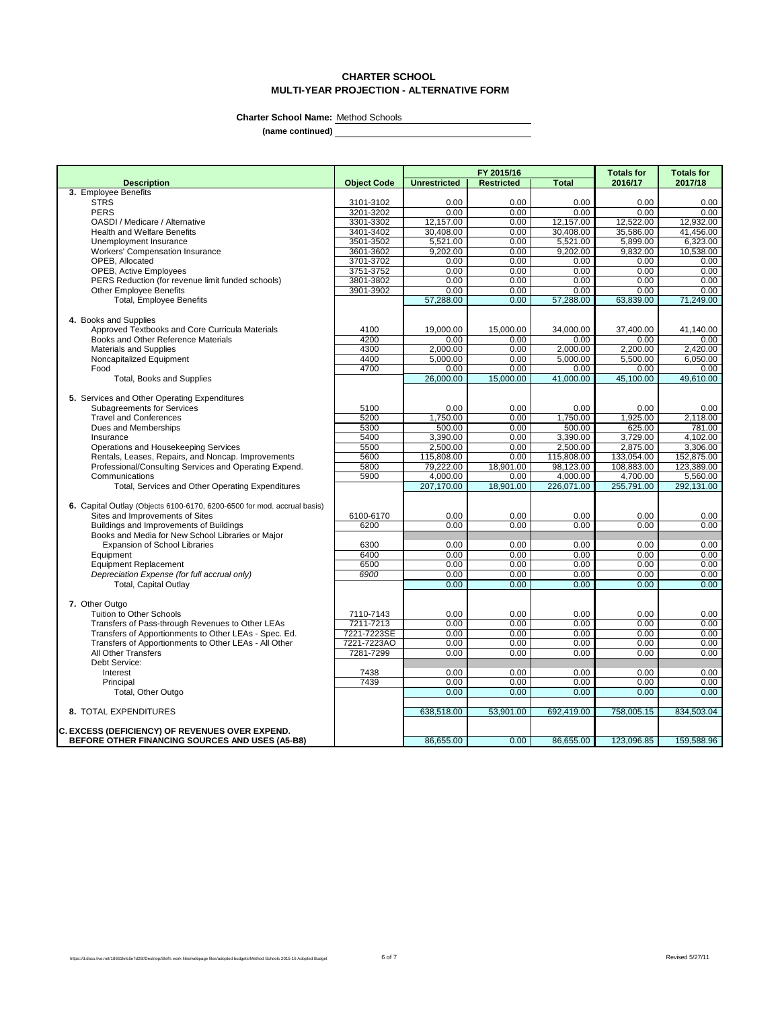# **CHARTER SCHOOL MULTI-YEAR PROJECTION - ALTERNATIVE FORM**

**Charter School Name:** Method Schools

|                                                                          |                    | FY 2015/16          |                   | <b>Totals for</b> | <b>Totals for</b> |                   |
|--------------------------------------------------------------------------|--------------------|---------------------|-------------------|-------------------|-------------------|-------------------|
| <b>Description</b>                                                       | <b>Object Code</b> | <b>Unrestricted</b> | <b>Restricted</b> | <b>Total</b>      | 2016/17           | 2017/18           |
| 3. Employee Benefits                                                     |                    |                     |                   |                   |                   |                   |
| <b>STRS</b>                                                              | 3101-3102          | 0.00                | 0.00              | 0.00              | 0.00              | 0.00              |
| <b>PERS</b>                                                              | 3201-3202          | 0.00                | 0.00              | 0.00              | 0.00              | 0.00              |
| OASDI / Medicare / Alternative                                           | 3301-3302          | 12,157.00           | 0.00              | 12,157.00         | 12,522.00         | 12,932.00         |
| <b>Health and Welfare Benefits</b>                                       | 3401-3402          | 30,408.00           | 0.00              | 30,408.00         | 35,586.00         | 41.456.00         |
| Unemployment Insurance                                                   | 3501-3502          | 5,521.00            | 0.00              | 5,521.00          | 5,899.00          | 6,323.00          |
| <b>Workers' Compensation Insurance</b>                                   | 3601-3602          | 9,202.00            | 0.00              | 9,202.00          | 9,832.00          | 10,538.00         |
| OPEB. Allocated                                                          | 3701-3702          | 0.00                | 0.00              | 0.00              | 0.00              | 0.00              |
| OPEB, Active Employees                                                   | 3751-3752          | 0.00                | 0.00              | 0.00              | 0.00              | 0.00              |
| PERS Reduction (for revenue limit funded schools)                        | 3801-3802          | 0.00                | 0.00              | 0.00              | 0.00              | 0.00              |
| <b>Other Employee Benefits</b>                                           | 3901-3902          | 0.00                | 0.00              | 0.00              | 0.00              | 0.00              |
| <b>Total, Employee Benefits</b>                                          |                    | 57,288.00           | 0.00              | 57,288.00         | 63,839.00         | 71,249.00         |
|                                                                          |                    |                     |                   |                   |                   |                   |
| 4. Books and Supplies<br>Approved Textbooks and Core Curricula Materials | 4100               | 19,000.00           | 15,000.00         | 34,000.00         | 37,400.00         | 41,140.00         |
| Books and Other Reference Materials                                      | 4200               | 0.00                | 0.00              | 0.00              | 0.00              | 0.00              |
| <b>Materials and Supplies</b>                                            | 4300               | 2.000.00            | 0.00              | 2.000.00          | 2.200.00          | 2.420.00          |
| Noncapitalized Equipment                                                 | 4400               | 5,000.00            | 0.00              | 5,000.00          | 5,500.00          | 6,050.00          |
| Food                                                                     | 4700               | 0.00                | 0.00              | 0.00              | 0.00              | 0.00 <sub>1</sub> |
| <b>Total, Books and Supplies</b>                                         |                    | 26.000.00           | 15.000.00         | 41.000.00         | 45.100.00         | 49.610.00         |
|                                                                          |                    |                     |                   |                   |                   |                   |
| 5. Services and Other Operating Expenditures                             |                    |                     |                   |                   |                   |                   |
| <b>Subagreements for Services</b>                                        | 5100               | 0.00                | 0.00              | 0.00              | 0.00              | 0.00              |
| <b>Travel and Conferences</b>                                            | 5200               | 1,750.00            | 0.00              | 1,750.00          | 1,925.00          | 2,118.00          |
| Dues and Memberships                                                     | 5300               | 500.00              | 0.00              | 500.00            | 625.00            | 781.00            |
| Insurance                                                                | 5400               | 3,390.00            | 0.00              | 3,390.00          | 3,729.00          | 4,102.00          |
| Operations and Housekeeping Services                                     | 5500               | 2,500.00            | 0.00              | 2,500.00          | 2,875.00          | 3,306.00          |
| Rentals, Leases, Repairs, and Noncap. Improvements                       | 5600               | 115,808.00          | 0.00              | 115,808.00        | 133,054.00        | 152,875.00        |
| Professional/Consulting Services and Operating Expend.                   | 5800               | 79,222.00           | 18,901.00         | 98,123.00         | 108,883.00        | 123,389.00        |
| Communications                                                           | 5900               | 4,000.00            | 0.00              | 4,000.00          | 4,700.00          | 5,560.00          |
| Total, Services and Other Operating Expenditures                         |                    | 207.170.00          | 18,901.00         | 226.071.00        | 255,791.00        | 292,131.00        |
|                                                                          |                    |                     |                   |                   |                   |                   |
| 6. Capital Outlay (Objects 6100-6170, 6200-6500 for mod. accrual basis)  |                    |                     |                   |                   |                   |                   |
| Sites and Improvements of Sites                                          | 6100-6170          | 0.00                | 0.00              | 0.00              | 0.00              | 0.00              |
| Buildings and Improvements of Buildings                                  | 6200               | 0.00                | 0.00              | 0.00              | 0.00              | 0.00              |
| Books and Media for New School Libraries or Major                        |                    |                     |                   |                   |                   |                   |
| <b>Expansion of School Libraries</b>                                     | 6300               | 0.00                | 0.00              | 0.00              | 0.00              | 0.00              |
| Equipment                                                                | 6400               | 0.00                | 0.00              | 0.00              | 0.00              | 0.00              |
| <b>Equipment Replacement</b>                                             | 6500               | 0.00                | 0.00              | 0.00              | 0.00              | 0.00              |
| Depreciation Expense (for full accrual only)                             | 6900               | 0.00                | 0.00              | 0.00              | 0.00              | 0.00              |
| <b>Total, Capital Outlay</b>                                             |                    | 0.00                | 0.00              | 0.00              | 0.00              | 0.00              |
|                                                                          |                    |                     |                   |                   |                   |                   |
| 7. Other Outgo                                                           |                    |                     |                   |                   |                   |                   |
| Tuition to Other Schools                                                 | 7110-7143          | 0.00                | 0.00              | 0.00              | 0.00              | 0.00              |
| Transfers of Pass-through Revenues to Other LEAs                         | 7211-7213          | 0.00                | 0.00              | 0.00              | 0.00              | 0.00              |
| Transfers of Apportionments to Other LEAs - Spec. Ed.                    | 7221-7223SE        | 0.00                | 0.00              | 0.00              | 0.00              | 0.00              |
| Transfers of Apportionments to Other LEAs - All Other                    | 7221-7223AO        | 0.00                | 0.00              | 0.00              | 0.00              | 0.00              |
| All Other Transfers                                                      | 7281-7299          | 0.00                | 0.00              | 0.00              | 0.00              | 0.00              |
| Debt Service:                                                            |                    |                     |                   |                   |                   |                   |
| Interest                                                                 | 7438               | 0.00                | 0.00              | 0.00              | 0.00              | 0.00              |
| Principal                                                                | 7439               | 0.00                | 0.00              | 0.00              | 0.00              | 0.00              |
| Total, Other Outgo                                                       |                    | 0.00                | 0.00              | 0.00              | 0.00              | 0.00              |
| 8. TOTAL EXPENDITURES                                                    |                    | 638,518.00          | 53,901.00         | 692,419.00        | 758,005.15        | 834,503.04        |
|                                                                          |                    |                     |                   |                   |                   |                   |
| <b>C. EXCESS (DEFICIENCY) OF REVENUES OVER EXPEND.</b>                   |                    |                     |                   |                   |                   |                   |
| BEFORE OTHER FINANCING SOURCES AND USES (A5-B8)                          |                    | 86,655.00           | 0.00              | 86,655.00         | 123,096.85        | 159,588.96        |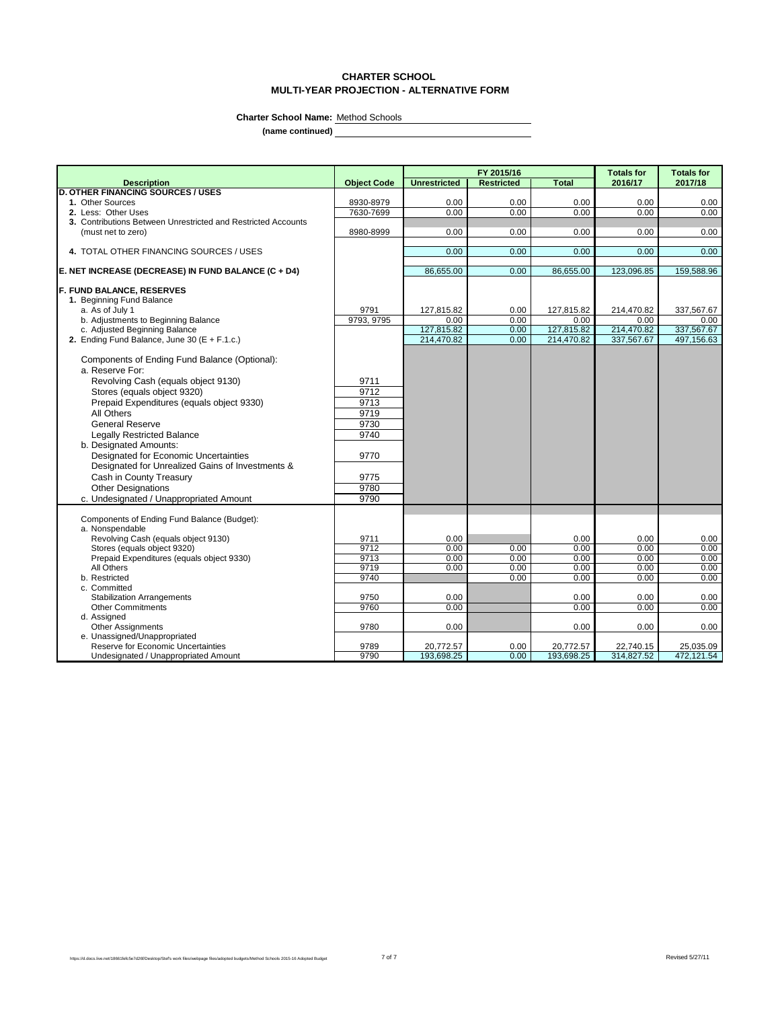# **CHARTER SCHOOL MULTI-YEAR PROJECTION - ALTERNATIVE FORM**

 $\overline{\phantom{0}}$ 

**Charter School Name:** Method Schools

|                                                                            |                    | FY 2015/16              |                   |                         | <b>Totals for</b>       | <b>Totals for</b>       |
|----------------------------------------------------------------------------|--------------------|-------------------------|-------------------|-------------------------|-------------------------|-------------------------|
| <b>Description</b>                                                         | <b>Object Code</b> | <b>Unrestricted</b>     | <b>Restricted</b> | <b>Total</b>            | 2016/17                 | 2017/18                 |
| <b>D. OTHER FINANCING SOURCES / USES</b>                                   |                    |                         |                   |                         |                         |                         |
| 1. Other Sources                                                           | 8930-8979          | 0.00                    | 0.00              | 0.00                    | 0.00                    | 0.00                    |
| 2. Less: Other Uses                                                        | 7630-7699          | 0.00                    | 0.00              | 0.00                    | 0.00                    | 0.00                    |
| 3. Contributions Between Unrestricted and Restricted Accounts              |                    |                         |                   |                         |                         |                         |
| (must net to zero)                                                         | 8980-8999          | 0.00                    | 0.00              | 0.00                    | 0.00                    | 0.00                    |
| 4. TOTAL OTHER FINANCING SOURCES / USES                                    |                    | 0.00                    | 0.00              | 0.00                    | 0.00                    | 0.00                    |
|                                                                            |                    |                         |                   |                         |                         |                         |
| E. NET INCREASE (DECREASE) IN FUND BALANCE (C + D4)                        |                    | 86,655.00               | 0.00              | 86,655.00               | 123,096.85              | 159,588.96              |
| <b>F. FUND BALANCE, RESERVES</b>                                           |                    |                         |                   |                         |                         |                         |
| 1. Beginning Fund Balance                                                  |                    |                         |                   |                         |                         |                         |
| a. As of July 1                                                            | 9791               | 127,815.82              | 0.00              | 127,815.82              | 214,470.82              | 337,567.67              |
| b. Adjustments to Beginning Balance                                        | 9793, 9795         | 0.00                    | 0.00              | 0.00                    | 0.00                    | 0.00                    |
| c. Adjusted Beginning Balance                                              |                    | 127,815.82              | 0.00              | 127,815.82              | 214,470.82              | 337,567.67              |
| 2. Ending Fund Balance, June 30 ( $E + F.1.c.$ )                           |                    | 214,470.82              | 0.00              | 214,470.82              | 337,567.67              | 497,156.63              |
| Components of Ending Fund Balance (Optional):                              |                    |                         |                   |                         |                         |                         |
| a. Reserve For:                                                            |                    |                         |                   |                         |                         |                         |
| Revolving Cash (equals object 9130)                                        | 9711               |                         |                   |                         |                         |                         |
| Stores (equals object 9320)                                                | 9712               |                         |                   |                         |                         |                         |
| Prepaid Expenditures (equals object 9330)                                  | 9713               |                         |                   |                         |                         |                         |
| All Others                                                                 | 9719               |                         |                   |                         |                         |                         |
| <b>General Reserve</b>                                                     | 9730               |                         |                   |                         |                         |                         |
| <b>Legally Restricted Balance</b>                                          | 9740               |                         |                   |                         |                         |                         |
| b. Designated Amounts:                                                     |                    |                         |                   |                         |                         |                         |
|                                                                            | 9770               |                         |                   |                         |                         |                         |
| Designated for Economic Uncertainties                                      |                    |                         |                   |                         |                         |                         |
| Designated for Unrealized Gains of Investments &                           |                    |                         |                   |                         |                         |                         |
| Cash in County Treasury                                                    | 9775               |                         |                   |                         |                         |                         |
| <b>Other Designations</b>                                                  | 9780               |                         |                   |                         |                         |                         |
| c. Undesignated / Unappropriated Amount                                    | 9790               |                         |                   |                         |                         |                         |
| Components of Ending Fund Balance (Budget):                                |                    |                         |                   |                         |                         |                         |
| a. Nonspendable                                                            |                    |                         |                   |                         |                         |                         |
| Revolving Cash (equals object 9130)                                        | 9711               | 0.00                    |                   | 0.00                    | 0.00                    | 0.00                    |
| Stores (equals object 9320)                                                | 9712               | 0.00                    | 0.00              | 0.00                    | 0.00                    | 0.00                    |
| Prepaid Expenditures (equals object 9330)                                  | 9713               | 0.00                    | 0.00              | 0.00                    | 0.00                    | 0.00                    |
| All Others                                                                 | 9719               | 0.00                    | 0.00              | 0.00                    | 0.00                    | 0.00                    |
| b. Restricted                                                              | 9740               |                         | 0.00              | 0.00                    | 0.00                    | 0.00                    |
| c. Committed                                                               |                    |                         |                   |                         |                         |                         |
| <b>Stabilization Arrangements</b>                                          | 9750               | 0.00                    |                   | 0.00                    | 0.00                    | 0.00                    |
| <b>Other Commitments</b>                                                   | 9760               | 0.00                    |                   | 0.00                    | 0.00                    | 0.00                    |
| d. Assigned                                                                |                    |                         |                   |                         |                         |                         |
| <b>Other Assignments</b>                                                   | 9780               | 0.00                    |                   | 0.00                    | 0.00                    | 0.00                    |
| e. Unassigned/Unappropriated                                               |                    |                         |                   |                         |                         |                         |
| Reserve for Economic Uncertainties<br>Undesignated / Unappropriated Amount | 9789<br>9790       | 20,772.57<br>193,698.25 | 0.00<br>0.00      | 20,772.57<br>193,698.25 | 22,740.15<br>314,827.52 | 25,035.09<br>472,121.54 |
|                                                                            |                    |                         |                   |                         |                         |                         |